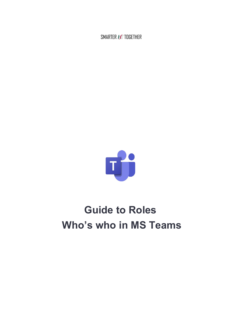SMARTER **HE** TOGETHER



# **Guide to Roles Who's who in MS Teams**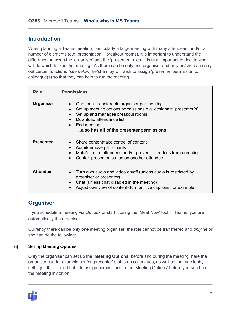## **Introduction**

When planning a Teams meeting, particularly a large meeting with many attendees, and/or a number of elements (e.g. presentation + breakout rooms), it is important to understand the difference between the 'organiser' and the 'presenter' roles. It is also important to decide who will do which task in the meeting. As there can be only one organiser and only he/she can carry out certain functions *(see below)* he/she may will wish to assign 'presenter' permission to colleague(s) so that they can help to run the meeting.

| <b>Role</b>      | <b>Permissions</b>                                                                                                                                                                                                                                     |
|------------------|--------------------------------------------------------------------------------------------------------------------------------------------------------------------------------------------------------------------------------------------------------|
| Organiser        | One, non-transferable organiser per meeting<br>Set up meeting options permissions e.g. designate 'presenter(s)'<br>Set up and manages breakout rooms<br>Download attendance list<br>$\bullet$ End meeting<br>also has all of the presenter permissions |
| <b>Presenter</b> | • Share content/take control of content<br>Admit/remove participants.<br>$\bullet$<br>Mute/unmute attendees and/or prevent attendees from unmuting.<br>Confer 'presenter' status on another attendee                                                   |
| <b>Attendee</b>  | Turn own audio and video on/off (unless audio is restricted by<br>organiser or presenter)<br>Chat (unless chat disabled in the meeting)<br>$\bullet$<br>Adjust own view of content-turn on 'live captions' for example                                 |

# **Organiser**

If you schedule a meeting via Outlook or start it using the 'Meet Now' tool in Teams, you are automatically the organiser.

Currently there can be only one meeting organiser; the role cannot be transferred and *only* he or she can do the following:

## **(i) Set up Meeting Options**

Only the organiser can set up the **'Meeting Options'** before and during the meeting; here the organiser can for example confer 'presenter' status on colleagues, as well as manage lobby settings. It is a good habit to assign permissions in the 'Meeting Options' before you send out the meeting invitation.

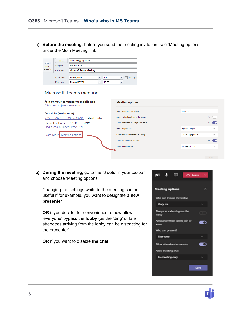a) **Before the meeting**; before you send the meeting invitation, see 'Meeting options' under the 'Join Meeting' link

| 듸<br>$=$<br>Send<br>Update | <b>To</b>        | Jane .bloggs@hse.ie            |                          |       |   |           |  |  |
|----------------------------|------------------|--------------------------------|--------------------------|-------|---|-----------|--|--|
|                            | Subject:         | <b>HR</b> initiative           |                          |       |   |           |  |  |
|                            | Location:        | <b>Microsoft Teams Meeting</b> |                          |       |   |           |  |  |
|                            |                  |                                |                          |       |   |           |  |  |
|                            | Start time:      | Thu 04/02/2021                 | ÷                        | 10:00 | ٠ | All day e |  |  |
|                            | <b>End time:</b> | Thu 04/02/2021                 | $\overline{\phantom{a}}$ | 10:30 | ٠ |           |  |  |

### **Microsoft Teams meeting**

| Join on your computer or mobile app<br>Click here to join the meeting | <b>Meeting options</b>              |                    |               |
|-----------------------------------------------------------------------|-------------------------------------|--------------------|---------------|
| Or call in (audio only)                                               | Who can bypass the lobby?           | Only me            | $\checkmark$  |
| +353 1 592 3510,,490540379#<br>Ireland, Dublin                        | Always let callers bypass the lobby |                    | No $\bigcirc$ |
| Phone Conference ID: 490 540 379#                                     | Announce when callers join or leave |                    | Yes           |
| Find a local number   Reset PIN                                       | Who can present?                    | Specific people    | $\checkmark$  |
| Learn More<br>Meeting options                                         | Select presenters for this meeting  | jane.bloggs@hse.ie | $\checkmark$  |
|                                                                       | Allow attendees to unmute           |                    | Yes           |
|                                                                       | Allow meeting chat                  | In-meeting only    | $\checkmark$  |
|                                                                       |                                     |                    |               |
|                                                                       |                                     |                    | County        |

**b) During the meeting,** go to the '3 dots' in your toolbar and choose 'Meeting options'

Changing the settings while **in** the meeting can be useful if for example, you want to designate a **new presente**r

**OR** if you decide, for convenience to now allow 'everyone' bypass the **lobby** (as the 'ding' of late attendees arriving from the lobby can be distracting for the presenter)

**OR** if you want to disable **the chat**



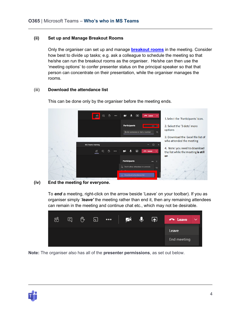#### **(ii) Set up and Manage Breakout Rooms**

Only the organiser can set up and manage **[breakout rooms](https://www.ehealthireland.ie/MS-Teams-for-HSE-Staff/MS-Teams-Breakout-Rooms-pdf.pdf)** in the meeting. Consider how best to divide up tasks; e.g. ask a colleague to schedule the meeting so that he/she can run the breakout rooms as the organiser. He/she can then use the 'meeting options' to confer presenter status on the principal speaker so that that person can concentrate on their presentation, while the organiser manages the rooms.

#### (iii) **Download the attendance list**



This can be done only by the organiser before the meeting ends.

#### **(iv) End the meeting for everyone.**

To *end* a meeting, right-click on the arrow beside 'Leave' on your toolbar). If you as organiser simply '*leave'* the meeting rather than end it, then any remaining attendees can remain in the meeting and continue chat etc., which may not be desirable.



**Note:** The organiser also has all of the **presenter permissions**, as set out below.